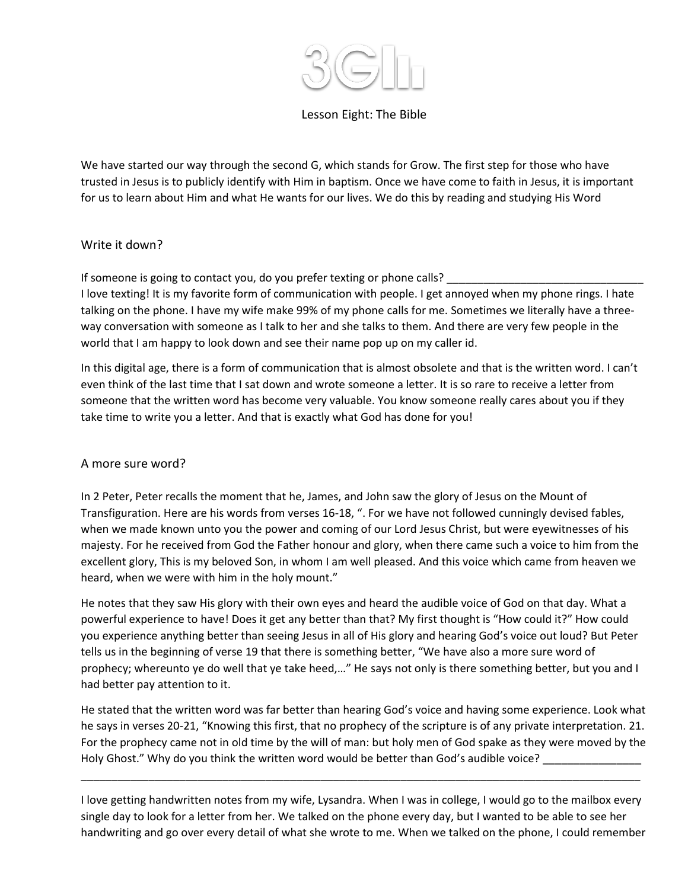

# Lesson Eight: The Bible

We have started our way through the second G, which stands for Grow. The first step for those who have trusted in Jesus is to publicly identify with Him in baptism. Once we have come to faith in Jesus, it is important for us to learn about Him and what He wants for our lives. We do this by reading and studying His Word

### Write it down?

If someone is going to contact you, do you prefer texting or phone calls?

I love texting! It is my favorite form of communication with people. I get annoyed when my phone rings. I hate talking on the phone. I have my wife make 99% of my phone calls for me. Sometimes we literally have a threeway conversation with someone as I talk to her and she talks to them. And there are very few people in the world that I am happy to look down and see their name pop up on my caller id.

In this digital age, there is a form of communication that is almost obsolete and that is the written word. I can't even think of the last time that I sat down and wrote someone a letter. It is so rare to receive a letter from someone that the written word has become very valuable. You know someone really cares about you if they take time to write you a letter. And that is exactly what God has done for you!

# A more sure word?

In 2 Peter, Peter recalls the moment that he, James, and John saw the glory of Jesus on the Mount of Transfiguration. Here are his words from verses 16-18, ". For we have not followed cunningly devised fables, when we made known unto you the power and coming of our Lord Jesus Christ, but were eyewitnesses of his majesty. For he received from God the Father honour and glory, when there came such a voice to him from the excellent glory, This is my beloved Son, in whom I am well pleased. And this voice which came from heaven we heard, when we were with him in the holy mount."

He notes that they saw His glory with their own eyes and heard the audible voice of God on that day. What a powerful experience to have! Does it get any better than that? My first thought is "How could it?" How could you experience anything better than seeing Jesus in all of His glory and hearing God's voice out loud? But Peter tells us in the beginning of verse 19 that there is something better, "We have also a more sure word of prophecy; whereunto ye do well that ye take heed,…" He says not only is there something better, but you and I had better pay attention to it.

He stated that the written word was far better than hearing God's voice and having some experience. Look what he says in verses 20-21, "Knowing this first, that no prophecy of the scripture is of any private interpretation. 21. For the prophecy came not in old time by the will of man: but holy men of God spake as they were moved by the Holy Ghost." Why do you think the written word would be better than God's audible voice?

I love getting handwritten notes from my wife, Lysandra. When I was in college, I would go to the mailbox every single day to look for a letter from her. We talked on the phone every day, but I wanted to be able to see her handwriting and go over every detail of what she wrote to me. When we talked on the phone, I could remember

\_\_\_\_\_\_\_\_\_\_\_\_\_\_\_\_\_\_\_\_\_\_\_\_\_\_\_\_\_\_\_\_\_\_\_\_\_\_\_\_\_\_\_\_\_\_\_\_\_\_\_\_\_\_\_\_\_\_\_\_\_\_\_\_\_\_\_\_\_\_\_\_\_\_\_\_\_\_\_\_\_\_\_\_\_\_\_\_\_\_\_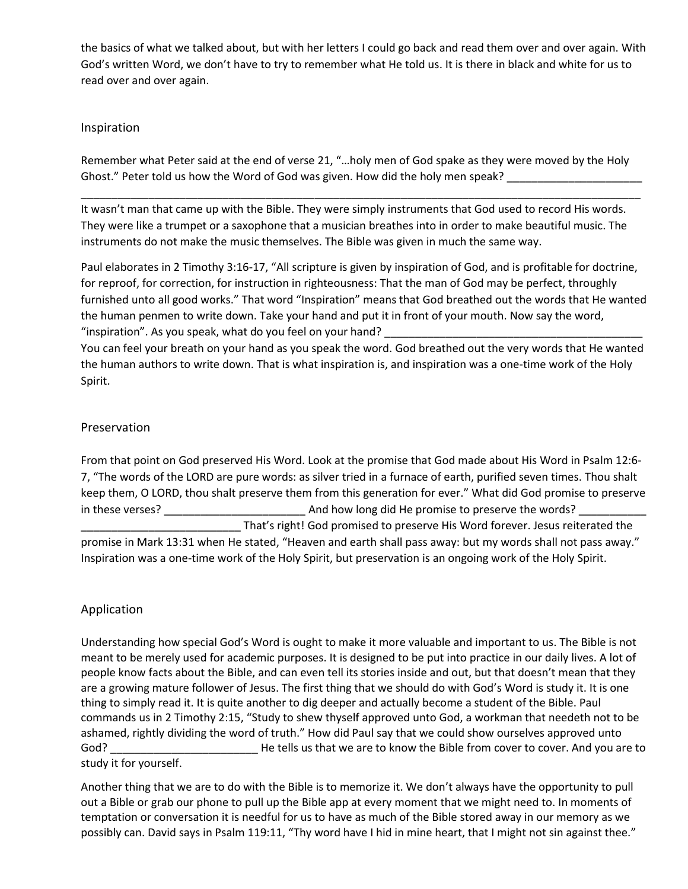the basics of what we talked about, but with her letters I could go back and read them over and over again. With God's written Word, we don't have to try to remember what He told us. It is there in black and white for us to read over and over again.

## Inspiration

Remember what Peter said at the end of verse 21, "…holy men of God spake as they were moved by the Holy Ghost." Peter told us how the Word of God was given. How did the holy men speak?

\_\_\_\_\_\_\_\_\_\_\_\_\_\_\_\_\_\_\_\_\_\_\_\_\_\_\_\_\_\_\_\_\_\_\_\_\_\_\_\_\_\_\_\_\_\_\_\_\_\_\_\_\_\_\_\_\_\_\_\_\_\_\_\_\_\_\_\_\_\_\_\_\_\_\_\_\_\_\_\_\_\_\_\_\_\_\_\_\_\_\_

It wasn't man that came up with the Bible. They were simply instruments that God used to record His words. They were like a trumpet or a saxophone that a musician breathes into in order to make beautiful music. The instruments do not make the music themselves. The Bible was given in much the same way.

Paul elaborates in 2 Timothy 3:16-17, "All scripture is given by inspiration of God, and is profitable for doctrine, for reproof, for correction, for instruction in righteousness: That the man of God may be perfect, throughly furnished unto all good works." That word "Inspiration" means that God breathed out the words that He wanted the human penmen to write down. Take your hand and put it in front of your mouth. Now say the word, "inspiration". As you speak, what do you feel on your hand?

You can feel your breath on your hand as you speak the word. God breathed out the very words that He wanted the human authors to write down. That is what inspiration is, and inspiration was a one-time work of the Holy Spirit.

# Preservation

From that point on God preserved His Word. Look at the promise that God made about His Word in Psalm 12:6- 7, "The words of the LORD are pure words: as silver tried in a furnace of earth, purified seven times. Thou shalt keep them, O LORD, thou shalt preserve them from this generation for ever." What did God promise to preserve in these verses? \_\_\_\_\_\_\_\_\_\_\_\_\_\_\_\_\_\_\_\_\_\_\_ And how long did He promise to preserve the words? \_\_\_\_\_\_\_\_\_\_\_ That's right! God promised to preserve His Word forever. Jesus reiterated the promise in Mark 13:31 when He stated, "Heaven and earth shall pass away: but my words shall not pass away." Inspiration was a one-time work of the Holy Spirit, but preservation is an ongoing work of the Holy Spirit.

# Application

Understanding how special God's Word is ought to make it more valuable and important to us. The Bible is not meant to be merely used for academic purposes. It is designed to be put into practice in our daily lives. A lot of people know facts about the Bible, and can even tell its stories inside and out, but that doesn't mean that they are a growing mature follower of Jesus. The first thing that we should do with God's Word is study it. It is one thing to simply read it. It is quite another to dig deeper and actually become a student of the Bible. Paul commands us in 2 Timothy 2:15, "Study to shew thyself approved unto God, a workman that needeth not to be ashamed, rightly dividing the word of truth." How did Paul say that we could show ourselves approved unto God? **Example 2** He tells us that we are to know the Bible from cover to cover. And you are to study it for yourself.

Another thing that we are to do with the Bible is to memorize it. We don't always have the opportunity to pull out a Bible or grab our phone to pull up the Bible app at every moment that we might need to. In moments of temptation or conversation it is needful for us to have as much of the Bible stored away in our memory as we possibly can. David says in Psalm 119:11, "Thy word have I hid in mine heart, that I might not sin against thee."